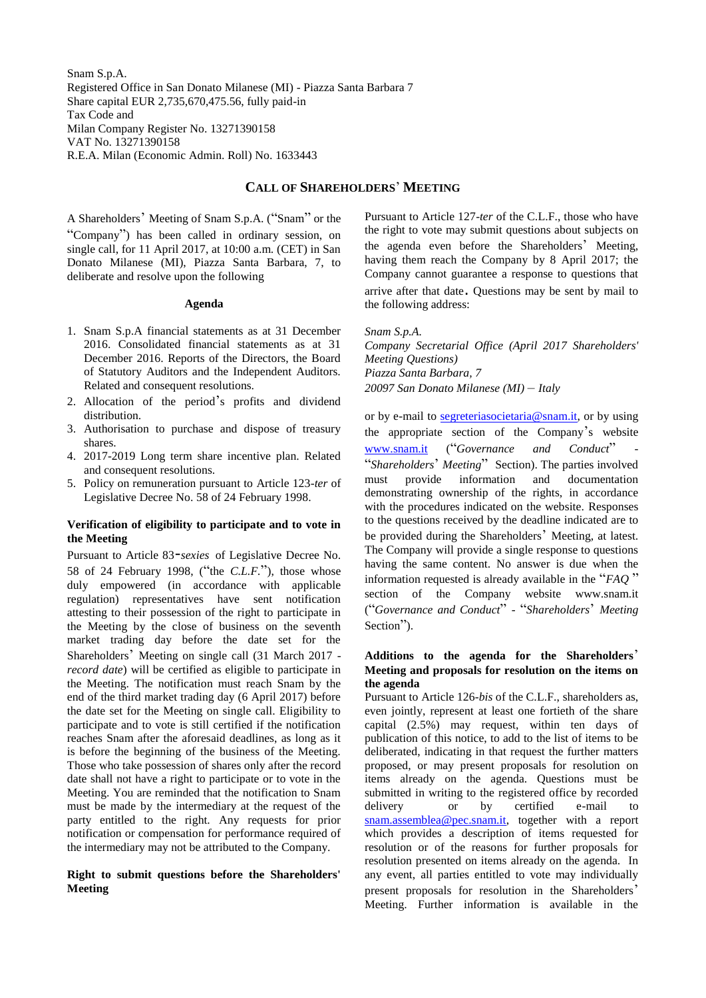Snam S.p.A. Registered Office in San Donato Milanese (MI) - Piazza Santa Barbara 7 Share capital EUR 2,735,670,475.56, fully paid-in Tax Code and Milan Company Register No. 13271390158 VAT No. 13271390158 R.E.A. Milan (Economic Admin. Roll) No. 1633443

# **CALL OF SHAREHOLDERS**' **MEETING**

A Shareholders' Meeting of Snam S.p.A. ("Snam" or the "Company") has been called in ordinary session, on single call, for 11 April 2017, at 10:00 a.m. (CET) in San Donato Milanese (MI), Piazza Santa Barbara, 7, to deliberate and resolve upon the following

#### **Agenda**

- 1. Snam S.p.A financial statements as at 31 December 2016. Consolidated financial statements as at 31 December 2016. Reports of the Directors, the Board of Statutory Auditors and the Independent Auditors. Related and consequent resolutions.
- 2. Allocation of the period's profits and dividend distribution.
- 3. Authorisation to purchase and dispose of treasury shares.
- 4. 2017-2019 Long term share incentive plan. Related and consequent resolutions.
- 5. Policy on remuneration pursuant to Article 123*-ter* of Legislative Decree No. 58 of 24 February 1998.

## **Verification of eligibility to participate and to vote in the Meeting**

Pursuant to Article 83-*sexies* of Legislative Decree No. 58 of 24 February 1998, ("the *C.L.F.*"), those whose duly empowered (in accordance with applicable regulation) representatives have sent notification attesting to their possession of the right to participate in the Meeting by the close of business on the seventh market trading day before the date set for the Shareholders' Meeting on single call (31 March 2017 *record date*) will be certified as eligible to participate in the Meeting. The notification must reach Snam by the end of the third market trading day (6 April 2017) before the date set for the Meeting on single call. Eligibility to participate and to vote is still certified if the notification reaches Snam after the aforesaid deadlines, as long as it is before the beginning of the business of the Meeting. Those who take possession of shares only after the record date shall not have a right to participate or to vote in the Meeting. You are reminded that the notification to Snam must be made by the intermediary at the request of the party entitled to the right. Any requests for prior notification or compensation for performance required of the intermediary may not be attributed to the Company.

## **Right to submit questions before the Shareholders' Meeting**

Pursuant to Article 127-*ter* of the C.L.F., those who have the right to vote may submit questions about subjects on the agenda even before the Shareholders' Meeting, having them reach the Company by 8 April 2017; the Company cannot guarantee a response to questions that arrive after that date. Questions may be sent by mail to the following address:

*Snam S.p.A. Company Secretarial Office (April 2017 Shareholders' Meeting Questions) Piazza Santa Barbara, 7 20097 San Donato Milanese (MI)* – *Italy*

or by e-mail to segreteriasocietaria@snam.it, or by using the appropriate section of the Company's website [www.snam.it](http://www.snam.it/) ("Governance and Conduct" "*Shareholders*' *Meeting*" Section). The parties involved must provide information and documentation demonstrating ownership of the rights, in accordance with the procedures indicated on the website. Responses to the questions received by the deadline indicated are to be provided during the Shareholders' Meeting, at latest. The Company will provide a single response to questions having the same content. No answer is due when the information requested is already available in the "*FAQ* " section of the Company website www.snam.it ("*Governance and Conduct*" - "*Shareholders*' *Meeting* Section").

## **Additions to the agenda for the Shareholders**' **Meeting and proposals for resolution on the items on the agenda**

Pursuant to Article 126-*bis* of the C.L.F., shareholders as, even jointly, represent at least one fortieth of the share capital (2.5%) may request, within ten days of publication of this notice, to add to the list of items to be deliberated, indicating in that request the further matters proposed, or may present proposals for resolution on items already on the agenda. Questions must be submitted in writing to the registered office by recorded delivery or by certified e-mail to [snam.assemblea@pec.snam.it,](mailto:snam.assemblea@pec.snam.it) together with a report which provides a description of items requested for resolution or of the reasons for further proposals for resolution presented on items already on the agenda. In any event, all parties entitled to vote may individually present proposals for resolution in the Shareholders' Meeting. Further information is available in the